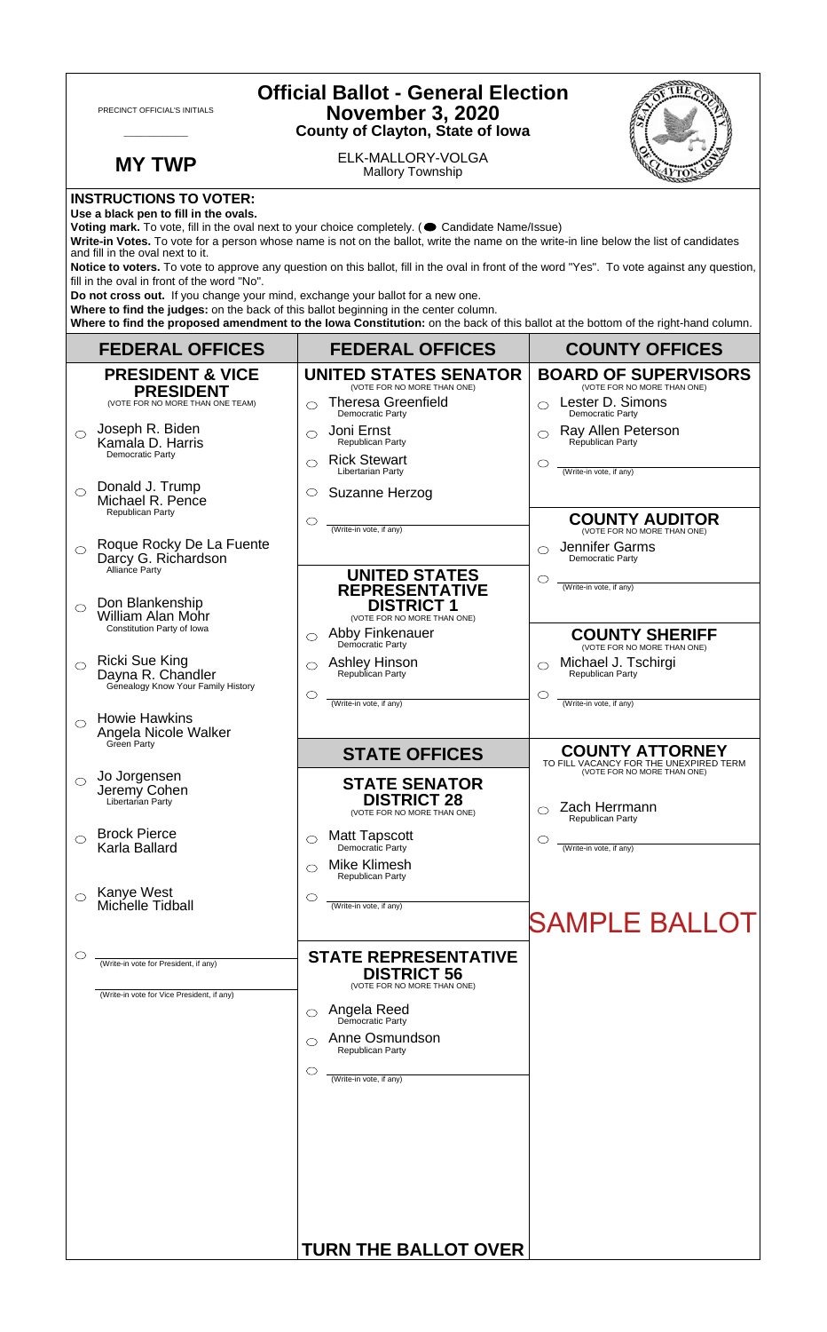| <b>Official Ballot - General Election</b><br>PRECINCT OFFICIAL'S INITIALS<br><b>November 3, 2020</b><br><b>County of Clayton, State of Iowa</b>                                                                                                                                                                                                                                                                                                                                                                                                      |                     |                                                                           |                                                                             |  |
|------------------------------------------------------------------------------------------------------------------------------------------------------------------------------------------------------------------------------------------------------------------------------------------------------------------------------------------------------------------------------------------------------------------------------------------------------------------------------------------------------------------------------------------------------|---------------------|---------------------------------------------------------------------------|-----------------------------------------------------------------------------|--|
| <b>MY TWP</b>                                                                                                                                                                                                                                                                                                                                                                                                                                                                                                                                        |                     | ELK-MALLORY-VOLGA<br><b>Mallory Township</b>                              |                                                                             |  |
| <b>INSTRUCTIONS TO VOTER:</b><br>Use a black pen to fill in the ovals.<br>Voting mark. To vote, fill in the oval next to your choice completely. (Condidate Name/Issue)<br>Write-in Votes. To vote for a person whose name is not on the ballot, write the name on the write-in line below the list of candidates<br>and fill in the oval next to it.<br>Notice to voters. To vote to approve any question on this ballot, fill in the oval in front of the word "Yes". To vote against any question,<br>fill in the oval in front of the word "No". |                     |                                                                           |                                                                             |  |
| Do not cross out. If you change your mind, exchange your ballot for a new one.<br>Where to find the judges: on the back of this ballot beginning in the center column.<br>Where to find the proposed amendment to the lowa Constitution: on the back of this ballot at the bottom of the right-hand column.                                                                                                                                                                                                                                          |                     |                                                                           |                                                                             |  |
| <b>FEDERAL OFFICES</b>                                                                                                                                                                                                                                                                                                                                                                                                                                                                                                                               |                     | <b>FEDERAL OFFICES</b>                                                    | <b>COUNTY OFFICES</b>                                                       |  |
| <b>PRESIDENT &amp; VICE</b><br><b>PRESIDENT</b>                                                                                                                                                                                                                                                                                                                                                                                                                                                                                                      |                     | <b>UNITED STATES SENATOR</b><br>(VOTE FOR NO MORE THAN ONE)               | <b>BOARD OF SUPERVISORS</b><br>(VOTE FOR NO MORE THAN ONE)                  |  |
| (VOTE FOR NO MORE THAN ONE TEAM)                                                                                                                                                                                                                                                                                                                                                                                                                                                                                                                     | ⌒                   | <b>Theresa Greenfield</b><br>Democratic Party                             | Lester D. Simons<br>$\bigcap$<br>Democratic Party                           |  |
| Joseph R. Biden<br>$\bigcirc$<br>Kamala D. Harris<br>Democratic Party                                                                                                                                                                                                                                                                                                                                                                                                                                                                                | ⌒<br>⌒              | Joni Ernst<br>Republican Party<br><b>Rick Stewart</b>                     | Ray Allen Peterson<br>$\bigcirc$<br>Republican Party<br>◯                   |  |
| Donald J. Trump<br>$\bigcirc$<br>Michael R. Pence                                                                                                                                                                                                                                                                                                                                                                                                                                                                                                    | O                   | Libertarian Party<br>Suzanne Herzog                                       | (Write-in vote, if any)                                                     |  |
| Republican Party                                                                                                                                                                                                                                                                                                                                                                                                                                                                                                                                     | $\circlearrowright$ | (Write-in vote, if any)                                                   | <b>COUNTY AUDITOR</b><br>(VOTE FOR NO MORE THAN ONE)                        |  |
| Roque Rocky De La Fuente<br>$\bigcirc$<br>Darcy G. Richardson<br>Alliance Party                                                                                                                                                                                                                                                                                                                                                                                                                                                                      |                     |                                                                           | Jennifer Garms<br>◯<br>Democratic Party                                     |  |
| Don Blankenship<br>$\bigcirc$<br><b>William Alan Mohr</b>                                                                                                                                                                                                                                                                                                                                                                                                                                                                                            |                     | <b>UNITED STATES</b><br><b>REPRESENTATIVE</b><br><b>DISTRICT 1</b>        | $\circlearrowright$<br>(Write-in vote, if any)                              |  |
| Constitution Party of Iowa                                                                                                                                                                                                                                                                                                                                                                                                                                                                                                                           | $\circlearrowright$ | (VOTE FOR NO MORE THAN ONE)<br>Abby Finkenauer                            | <b>COUNTY SHERIFF</b>                                                       |  |
| <b>Ricki Sue King</b><br>$\circ$<br>Dayna R. Chandler<br>Genealogy Know Your Family History                                                                                                                                                                                                                                                                                                                                                                                                                                                          | ◯                   | Democratic Party<br><b>Ashley Hinson</b><br>Republican Party              | (VOTE FOR NO MORE THAN ONE)<br>Michael J. Tschirgi<br>◯<br>Republican Party |  |
| <b>Howie Hawkins</b>                                                                                                                                                                                                                                                                                                                                                                                                                                                                                                                                 | ◯                   | (Write-in vote, if any)                                                   | O<br>(Write-in vote, if any)                                                |  |
| Angela Nicole Walker<br>Green Party                                                                                                                                                                                                                                                                                                                                                                                                                                                                                                                  |                     | <b>STATE OFFICES</b>                                                      | <b>COUNTY ATTORNEY</b><br>TO FILL VACANCY FOR THE UNEXPIRED TERM            |  |
| Jo Jorgensen<br>$\circ$<br>Jeremy Cohen<br>Libertarian Party                                                                                                                                                                                                                                                                                                                                                                                                                                                                                         |                     | <b>STATE SENATOR</b><br><b>DISTRICT 28</b><br>(VOTE FOR NO MORE THAN ONE) | (VOTE FOR NO MORE THAN ONE)<br>Zach Herrmann<br>Republican Party            |  |
| <b>Brock Pierce</b><br>◯<br>Karla Ballard                                                                                                                                                                                                                                                                                                                                                                                                                                                                                                            | ◯                   | <b>Matt Tapscott</b><br>Democratic Party                                  | C<br>(Write-in vote, if any)                                                |  |
|                                                                                                                                                                                                                                                                                                                                                                                                                                                                                                                                                      | ⌒                   | <b>Mike Klimesh</b><br>Republican Party                                   |                                                                             |  |
| Kanye West<br>$\circ$<br>Michelle Tidball                                                                                                                                                                                                                                                                                                                                                                                                                                                                                                            | O                   | (Write-in vote, if any)                                                   | <b>SAMPLE BALLOT</b>                                                        |  |
| O<br>(Write-in vote for President, if any)                                                                                                                                                                                                                                                                                                                                                                                                                                                                                                           |                     | <b>STATE REPRESENTATIVE</b>                                               |                                                                             |  |
| (Write-in vote for Vice President, if any)                                                                                                                                                                                                                                                                                                                                                                                                                                                                                                           |                     | <b>DISTRICT 56</b><br>(VOTE FOR NO MORE THAN ONE)                         |                                                                             |  |
|                                                                                                                                                                                                                                                                                                                                                                                                                                                                                                                                                      | ⌒                   | Angela Reed<br>Democratic Party                                           |                                                                             |  |
|                                                                                                                                                                                                                                                                                                                                                                                                                                                                                                                                                      | ⌒                   | Anne Osmundson<br>Republican Party                                        |                                                                             |  |
|                                                                                                                                                                                                                                                                                                                                                                                                                                                                                                                                                      | ◯                   | (Write-in vote, if any)                                                   |                                                                             |  |
|                                                                                                                                                                                                                                                                                                                                                                                                                                                                                                                                                      |                     |                                                                           |                                                                             |  |
|                                                                                                                                                                                                                                                                                                                                                                                                                                                                                                                                                      |                     |                                                                           |                                                                             |  |
|                                                                                                                                                                                                                                                                                                                                                                                                                                                                                                                                                      |                     |                                                                           |                                                                             |  |
|                                                                                                                                                                                                                                                                                                                                                                                                                                                                                                                                                      |                     |                                                                           |                                                                             |  |
|                                                                                                                                                                                                                                                                                                                                                                                                                                                                                                                                                      |                     | <b>TURN THE BALLOT OVER</b>                                               |                                                                             |  |

 $\sqrt{ }$